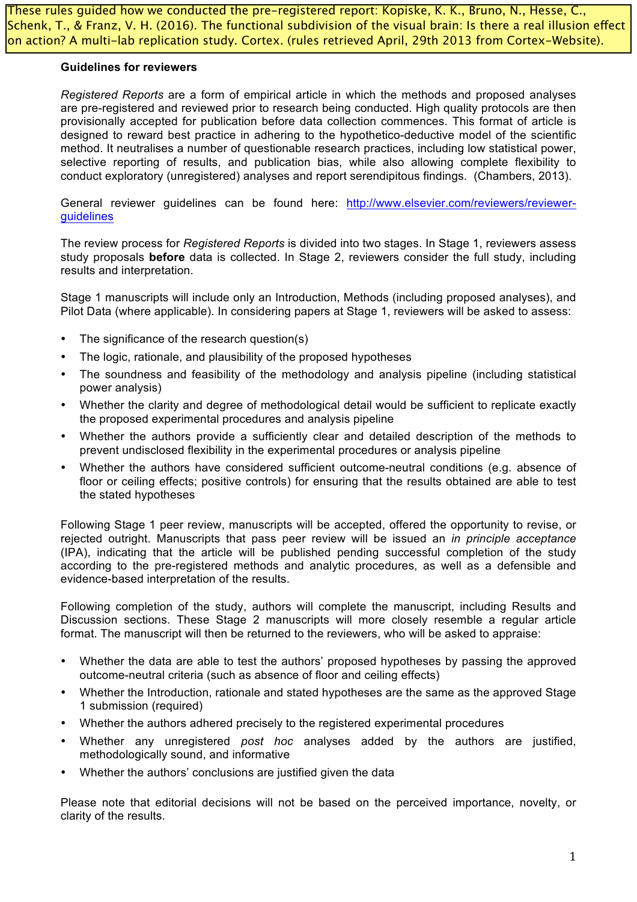These rules guided how we conducted the pre-registered report: Kopiske, K. K., Bruno, N., Hesse, C., Schenk, T., & Franz, V. H. (2016). The functional subdivision of the visual brain: Is there a real illusion effect on action? A multi-lab replication study. Cortex. (rules retrieved April, 29th 2013 from Cortex-Website).

#### **Guidelines for reviewers**

*Registered Reports* are a form of empirical article in which the methods and proposed analyses are pre-registered and reviewed prior to research being conducted. High quality protocols are then provisionally accepted for publication before data collection commences. This format of article is designed to reward best practice in adhering to the hypothetico-deductive model of the scientific method. It neutralises a number of questionable research practices, including low statistical power, selective reporting of results, and publication bias, while also allowing complete flexibility to conduct exploratory (unregistered) analyses and report serendipitous findings. (Chambers, 2013).

General reviewer guidelines can be found here: http://www.elsevier.com/reviewers/reviewerguidelines

The review process for *Registered Reports* is divided into two stages. In Stage 1, reviewers assess study proposals **before** data is collected. In Stage 2, reviewers consider the full study, including results and interpretation.

Stage 1 manuscripts will include only an Introduction, Methods (including proposed analyses), and Pilot Data (where applicable). In considering papers at Stage 1, reviewers will be asked to assess:

- The significance of the research question(s)
- The logic, rationale, and plausibility of the proposed hypotheses
- The soundness and feasibility of the methodology and analysis pipeline (including statistical power analysis)
- Whether the clarity and degree of methodological detail would be sufficient to replicate exactly the proposed experimental procedures and analysis pipeline
- Whether the authors provide a sufficiently clear and detailed description of the methods to prevent undisclosed flexibility in the experimental procedures or analysis pipeline
- Whether the authors have considered sufficient outcome-neutral conditions (e.g. absence of floor or ceiling effects; positive controls) for ensuring that the results obtained are able to test the stated hypotheses

Following Stage 1 peer review, manuscripts will be accepted, offered the opportunity to revise, or rejected outright. Manuscripts that pass peer review will be issued an *in principle acceptance* (IPA), indicating that the article will be published pending successful completion of the study according to the pre-registered methods and analytic procedures, as well as a defensible and evidence-based interpretation of the results.

Following completion of the study, authors will complete the manuscript, including Results and Discussion sections. These Stage 2 manuscripts will more closely resemble a regular article format. The manuscript will then be returned to the reviewers, who will be asked to appraise:

- Whether the data are able to test the authors' proposed hypotheses by passing the approved outcome-neutral criteria (such as absence of floor and ceiling effects)
- Whether the Introduction, rationale and stated hypotheses are the same as the approved Stage 1 submission (required)
- Whether the authors adhered precisely to the registered experimental procedures
- Whether any unregistered *post hoc* analyses added by the authors are justified, methodologically sound, and informative
- Whether the authors' conclusions are justified given the data

Please note that editorial decisions will not be based on the perceived importance, novelty, or clarity of the results.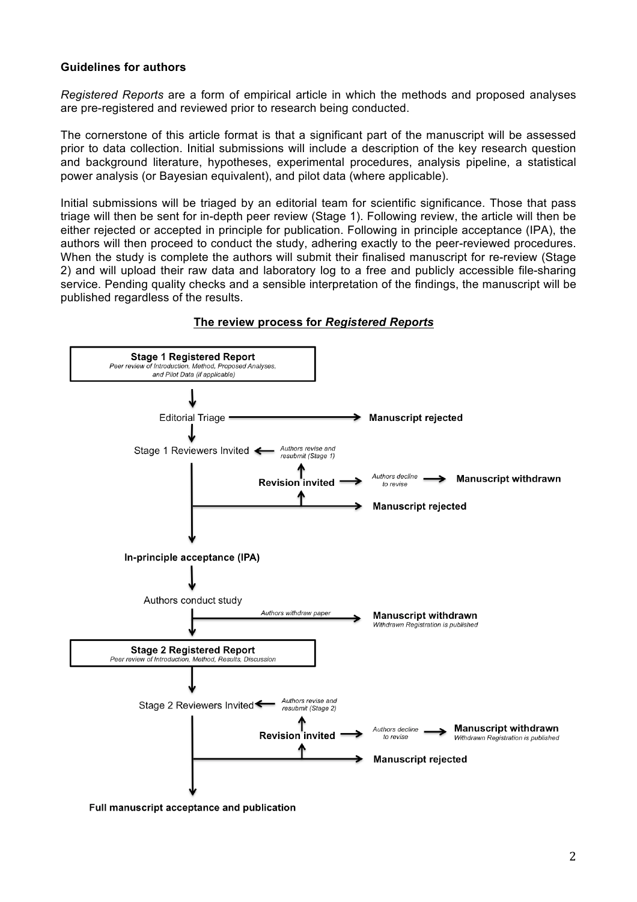## **Guidelines for authors**

*Registered Reports* are a form of empirical article in which the methods and proposed analyses are pre-registered and reviewed prior to research being conducted.

The cornerstone of this article format is that a significant part of the manuscript will be assessed prior to data collection. Initial submissions will include a description of the key research question and background literature, hypotheses, experimental procedures, analysis pipeline, a statistical power analysis (or Bayesian equivalent), and pilot data (where applicable).

Initial submissions will be triaged by an editorial team for scientific significance. Those that pass triage will then be sent for in-depth peer review (Stage 1). Following review, the article will then be either rejected or accepted in principle for publication. Following in principle acceptance (IPA), the authors will then proceed to conduct the study, adhering exactly to the peer-reviewed procedures. When the study is complete the authors will submit their finalised manuscript for re-review (Stage 2) and will upload their raw data and laboratory log to a free and publicly accessible file-sharing service. Pending quality checks and a sensible interpretation of the findings, the manuscript will be published regardless of the results.



# **The review process for** *Registered Reports*

Full manuscript acceptance and publication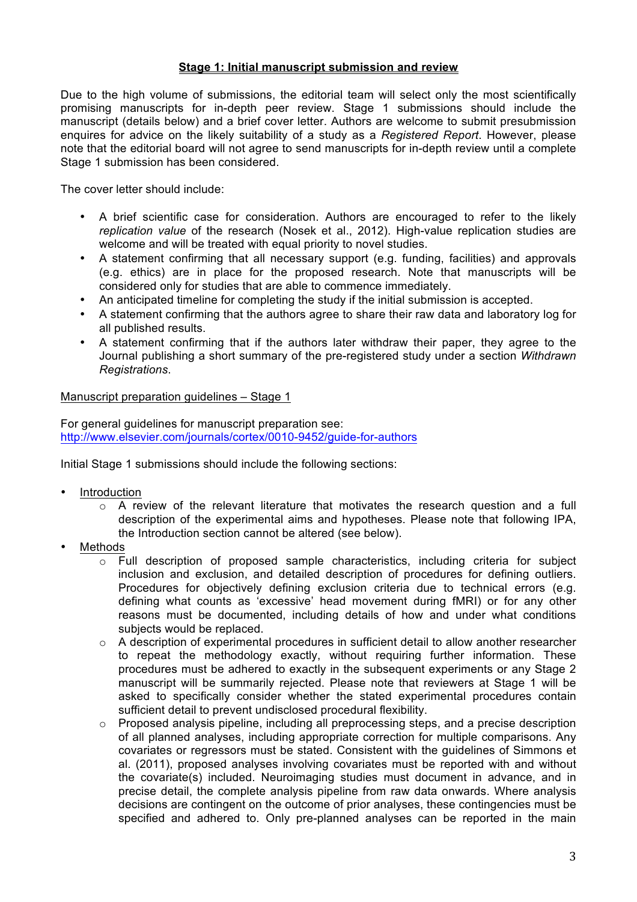## **Stage 1: Initial manuscript submission and review**

Due to the high volume of submissions, the editorial team will select only the most scientifically promising manuscripts for in-depth peer review. Stage 1 submissions should include the manuscript (details below) and a brief cover letter. Authors are welcome to submit presubmission enquires for advice on the likely suitability of a study as a *Registered Report*. However, please note that the editorial board will not agree to send manuscripts for in-depth review until a complete Stage 1 submission has been considered.

The cover letter should include:

- A brief scientific case for consideration. Authors are encouraged to refer to the likely *replication value* of the research (Nosek et al., 2012). High-value replication studies are welcome and will be treated with equal priority to novel studies.
- A statement confirming that all necessary support (e.g. funding, facilities) and approvals (e.g. ethics) are in place for the proposed research. Note that manuscripts will be considered only for studies that are able to commence immediately.
- An anticipated timeline for completing the study if the initial submission is accepted.
- A statement confirming that the authors agree to share their raw data and laboratory log for all published results.
- A statement confirming that if the authors later withdraw their paper, they agree to the Journal publishing a short summary of the pre-registered study under a section *Withdrawn Registrations*.

#### Manuscript preparation guidelines – Stage 1

For general guidelines for manuscript preparation see: http://www.elsevier.com/journals/cortex/0010-9452/guide-for-authors

Initial Stage 1 submissions should include the following sections:

- **Introduction** 
	- $\circ$  A review of the relevant literature that motivates the research question and a full description of the experimental aims and hypotheses. Please note that following IPA, the Introduction section cannot be altered (see below).
- **Methods** 
	- $\circ$  Full description of proposed sample characteristics, including criteria for subject inclusion and exclusion, and detailed description of procedures for defining outliers. Procedures for objectively defining exclusion criteria due to technical errors (e.g. defining what counts as 'excessive' head movement during fMRI) or for any other reasons must be documented, including details of how and under what conditions subjects would be replaced.
	- o A description of experimental procedures in sufficient detail to allow another researcher to repeat the methodology exactly, without requiring further information. These procedures must be adhered to exactly in the subsequent experiments or any Stage 2 manuscript will be summarily rejected. Please note that reviewers at Stage 1 will be asked to specifically consider whether the stated experimental procedures contain sufficient detail to prevent undisclosed procedural flexibility.
	- o Proposed analysis pipeline, including all preprocessing steps, and a precise description of all planned analyses, including appropriate correction for multiple comparisons. Any covariates or regressors must be stated. Consistent with the guidelines of Simmons et al. (2011), proposed analyses involving covariates must be reported with and without the covariate(s) included. Neuroimaging studies must document in advance, and in precise detail, the complete analysis pipeline from raw data onwards. Where analysis decisions are contingent on the outcome of prior analyses, these contingencies must be specified and adhered to. Only pre-planned analyses can be reported in the main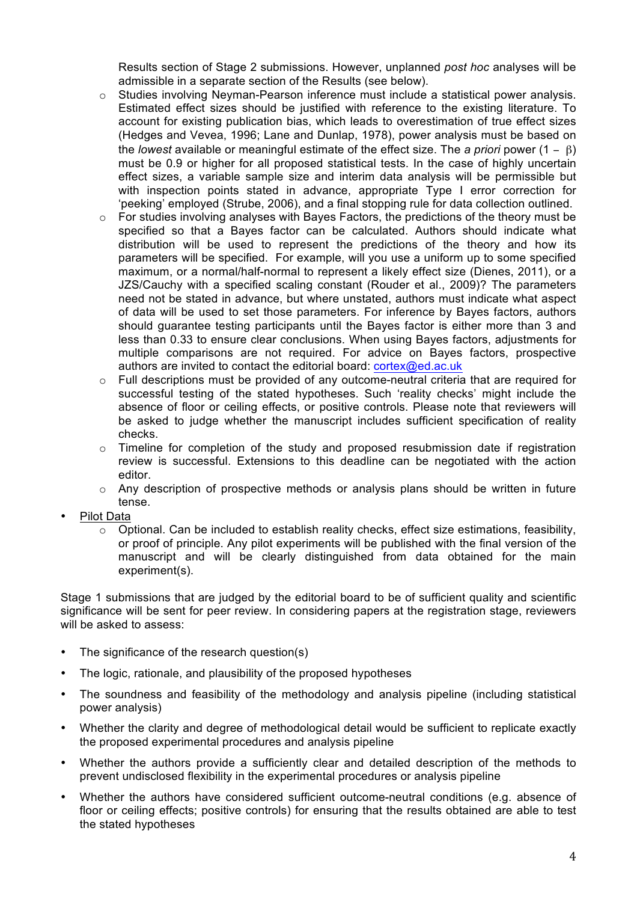Results section of Stage 2 submissions. However, unplanned *post hoc* analyses will be admissible in a separate section of the Results (see below).

- $\circ$  Studies involving Neyman-Pearson inference must include a statistical power analysis. Estimated effect sizes should be justified with reference to the existing literature. To account for existing publication bias, which leads to overestimation of true effect sizes (Hedges and Vevea, 1996; Lane and Dunlap, 1978), power analysis must be based on the *lowest* available or meaningful estimate of the effect size. The *a priori* power (1 − β) must be 0.9 or higher for all proposed statistical tests. In the case of highly uncertain effect sizes, a variable sample size and interim data analysis will be permissible but with inspection points stated in advance, appropriate Type I error correction for 'peeking' employed (Strube, 2006), and a final stopping rule for data collection outlined.
- o For studies involving analyses with Bayes Factors, the predictions of the theory must be specified so that a Bayes factor can be calculated. Authors should indicate what distribution will be used to represent the predictions of the theory and how its parameters will be specified. For example, will you use a uniform up to some specified maximum, or a normal/half-normal to represent a likely effect size (Dienes, 2011), or a JZS/Cauchy with a specified scaling constant (Rouder et al., 2009)? The parameters need not be stated in advance, but where unstated, authors must indicate what aspect of data will be used to set those parameters. For inference by Bayes factors, authors should guarantee testing participants until the Bayes factor is either more than 3 and less than 0.33 to ensure clear conclusions. When using Bayes factors, adjustments for multiple comparisons are not required. For advice on Bayes factors, prospective authors are invited to contact the editorial board: cortex@ed.ac.uk
- o Full descriptions must be provided of any outcome-neutral criteria that are required for successful testing of the stated hypotheses. Such 'reality checks' might include the absence of floor or ceiling effects, or positive controls. Please note that reviewers will be asked to judge whether the manuscript includes sufficient specification of reality checks.
- $\circ$  Timeline for completion of the study and proposed resubmission date if registration review is successful. Extensions to this deadline can be negotiated with the action editor.
- $\circ$  Any description of prospective methods or analysis plans should be written in future tense.
- Pilot Data
	- $\circ$  Optional. Can be included to establish reality checks, effect size estimations, feasibility, or proof of principle. Any pilot experiments will be published with the final version of the manuscript and will be clearly distinguished from data obtained for the main experiment(s).

Stage 1 submissions that are judged by the editorial board to be of sufficient quality and scientific significance will be sent for peer review. In considering papers at the registration stage, reviewers will be asked to assess:

- The significance of the research question(s)
- The logic, rationale, and plausibility of the proposed hypotheses
- The soundness and feasibility of the methodology and analysis pipeline (including statistical power analysis)
- Whether the clarity and degree of methodological detail would be sufficient to replicate exactly the proposed experimental procedures and analysis pipeline
- Whether the authors provide a sufficiently clear and detailed description of the methods to prevent undisclosed flexibility in the experimental procedures or analysis pipeline
- Whether the authors have considered sufficient outcome-neutral conditions (e.g. absence of floor or ceiling effects; positive controls) for ensuring that the results obtained are able to test the stated hypotheses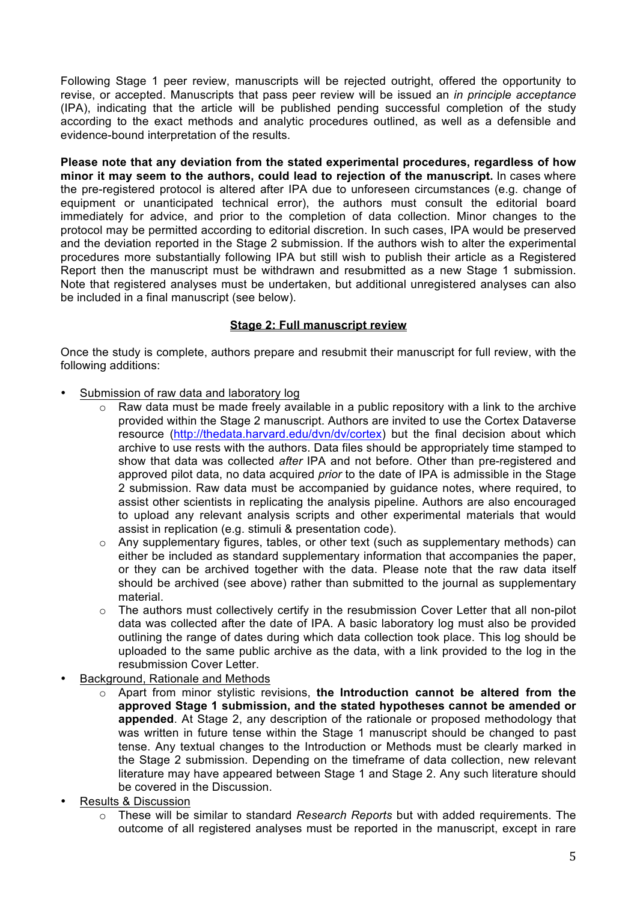Following Stage 1 peer review, manuscripts will be rejected outright, offered the opportunity to revise, or accepted. Manuscripts that pass peer review will be issued an *in principle acceptance* (IPA), indicating that the article will be published pending successful completion of the study according to the exact methods and analytic procedures outlined, as well as a defensible and evidence-bound interpretation of the results.

**Please note that any deviation from the stated experimental procedures, regardless of how minor it may seem to the authors, could lead to rejection of the manuscript.** In cases where the pre-registered protocol is altered after IPA due to unforeseen circumstances (e.g. change of equipment or unanticipated technical error), the authors must consult the editorial board immediately for advice, and prior to the completion of data collection. Minor changes to the protocol may be permitted according to editorial discretion. In such cases, IPA would be preserved and the deviation reported in the Stage 2 submission. If the authors wish to alter the experimental procedures more substantially following IPA but still wish to publish their article as a Registered Report then the manuscript must be withdrawn and resubmitted as a new Stage 1 submission. Note that registered analyses must be undertaken, but additional unregistered analyses can also be included in a final manuscript (see below).

## **Stage 2: Full manuscript review**

Once the study is complete, authors prepare and resubmit their manuscript for full review, with the following additions:

- Submission of raw data and laboratory log
	- $\overline{\circ}$  Raw data must be made freely available in a public repository with a link to the archive provided within the Stage 2 manuscript. Authors are invited to use the Cortex Dataverse resource (http://thedata.harvard.edu/dvn/dv/cortex) but the final decision about which archive to use rests with the authors. Data files should be appropriately time stamped to show that data was collected *after* IPA and not before. Other than pre-registered and approved pilot data, no data acquired *prior* to the date of IPA is admissible in the Stage 2 submission. Raw data must be accompanied by guidance notes, where required, to assist other scientists in replicating the analysis pipeline. Authors are also encouraged to upload any relevant analysis scripts and other experimental materials that would assist in replication (e.g. stimuli & presentation code).
	- o Any supplementary figures, tables, or other text (such as supplementary methods) can either be included as standard supplementary information that accompanies the paper, or they can be archived together with the data. Please note that the raw data itself should be archived (see above) rather than submitted to the journal as supplementary material.
	- $\circ$  The authors must collectively certify in the resubmission Cover Letter that all non-pilot data was collected after the date of IPA. A basic laboratory log must also be provided outlining the range of dates during which data collection took place. This log should be uploaded to the same public archive as the data, with a link provided to the log in the resubmission Cover Letter.
- Background, Rationale and Methods
	- o Apart from minor stylistic revisions, **the Introduction cannot be altered from the approved Stage 1 submission, and the stated hypotheses cannot be amended or appended**. At Stage 2, any description of the rationale or proposed methodology that was written in future tense within the Stage 1 manuscript should be changed to past tense. Any textual changes to the Introduction or Methods must be clearly marked in the Stage 2 submission. Depending on the timeframe of data collection, new relevant literature may have appeared between Stage 1 and Stage 2. Any such literature should be covered in the Discussion.
- Results & Discussion
	- o These will be similar to standard *Research Reports* but with added requirements. The outcome of all registered analyses must be reported in the manuscript, except in rare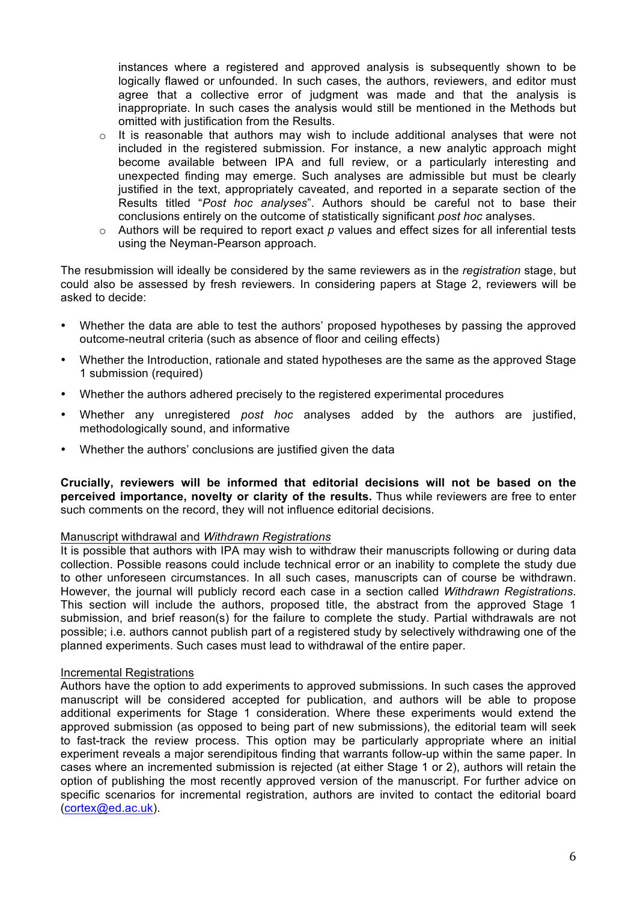instances where a registered and approved analysis is subsequently shown to be logically flawed or unfounded. In such cases, the authors, reviewers, and editor must agree that a collective error of judgment was made and that the analysis is inappropriate. In such cases the analysis would still be mentioned in the Methods but omitted with justification from the Results.

- $\circ$  It is reasonable that authors may wish to include additional analyses that were not included in the registered submission. For instance, a new analytic approach might become available between IPA and full review, or a particularly interesting and unexpected finding may emerge. Such analyses are admissible but must be clearly justified in the text, appropriately caveated, and reported in a separate section of the Results titled "*Post hoc analyses*". Authors should be careful not to base their conclusions entirely on the outcome of statistically significant *post hoc* analyses.
- o Authors will be required to report exact *p* values and effect sizes for all inferential tests using the Neyman-Pearson approach.

The resubmission will ideally be considered by the same reviewers as in the *registration* stage, but could also be assessed by fresh reviewers. In considering papers at Stage 2, reviewers will be asked to decide:

- Whether the data are able to test the authors' proposed hypotheses by passing the approved outcome-neutral criteria (such as absence of floor and ceiling effects)
- Whether the Introduction, rationale and stated hypotheses are the same as the approved Stage 1 submission (required)
- Whether the authors adhered precisely to the registered experimental procedures
- Whether any unregistered *post hoc* analyses added by the authors are justified, methodologically sound, and informative
- Whether the authors' conclusions are justified given the data

**Crucially, reviewers will be informed that editorial decisions will not be based on the perceived importance, novelty or clarity of the results.** Thus while reviewers are free to enter such comments on the record, they will not influence editorial decisions.

#### Manuscript withdrawal and *Withdrawn Registrations*

It is possible that authors with IPA may wish to withdraw their manuscripts following or during data collection. Possible reasons could include technical error or an inability to complete the study due to other unforeseen circumstances. In all such cases, manuscripts can of course be withdrawn. However, the journal will publicly record each case in a section called *Withdrawn Registrations*. This section will include the authors, proposed title, the abstract from the approved Stage 1 submission, and brief reason(s) for the failure to complete the study. Partial withdrawals are not possible; i.e. authors cannot publish part of a registered study by selectively withdrawing one of the planned experiments. Such cases must lead to withdrawal of the entire paper.

#### Incremental Registrations

Authors have the option to add experiments to approved submissions. In such cases the approved manuscript will be considered accepted for publication, and authors will be able to propose additional experiments for Stage 1 consideration. Where these experiments would extend the approved submission (as opposed to being part of new submissions), the editorial team will seek to fast-track the review process. This option may be particularly appropriate where an initial experiment reveals a major serendipitous finding that warrants follow-up within the same paper. In cases where an incremented submission is rejected (at either Stage 1 or 2), authors will retain the option of publishing the most recently approved version of the manuscript. For further advice on specific scenarios for incremental registration, authors are invited to contact the editorial board (cortex@ed.ac.uk).